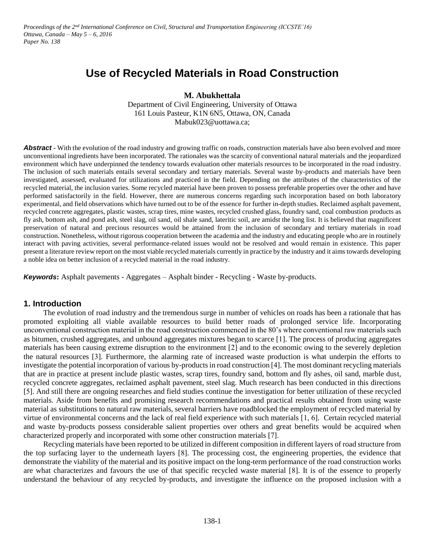*Proceedings of the 2nd International Conference on Civil, Structural and Transportation Engineering (ICCSTE'16) Ottawa, Canada – May 5 – 6, 2016 Paper No. 138*

# **Use of Recycled Materials in Road Construction**

**M. Abukhettala**

Department of Civil Engineering, University of Ottawa 161 Louis Pasteur, K1N 6N5, Ottawa, ON, Canada Mabuk023@uottawa.ca;

**Abstract** • With the evolution of the road industry and growing traffic on roads, construction materials have also been evolved and more unconventional ingredients have been incorporated. The rationales was the scarcity of conventional natural materials and the jeopardized environment which have underpinned the tendency towards evaluation other materials resources to be incorporated in the road industry. The inclusion of such materials entails several secondary and tertiary materials. Several waste by-products and materials have been investigated, assessed, evaluated for utilizations and practiced in the field. Depending on the attributes of the characteristics of the recycled material, the inclusion varies. Some recycled material have been proven to possess preferable properties over the other and have performed satisfactorily in the field. However, there are numerous concerns regarding such incorporation based on both laboratory experimental, and field observations which have turned out to be of the essence for further in-depth studies. Reclaimed asphalt pavement, recycled concrete aggregates, plastic wastes, scrap tires, mine wastes, recycled crushed glass, foundry sand, coal combustion products as fly ash, bottom ash, and pond ash, steel slag, oil sand, oil shale sand, lateritic soil, are amidst the long list. It is believed that magnificent preservation of natural and precious resources would be attained from the inclusion of secondary and tertiary materials in road construction. Nonetheless, without rigorous cooperation between the academia and the industry and educating people who are in routinely interact with paving activities, several performance-related issues would not be resolved and would remain in existence. This paper present a literature review report on the most viable recycled materials currently in practice by the industry and it aims towards developing a noble idea on better inclusion of a recycled material in the road industry.

*Keywords***:** Asphalt pavements - Aggregates – Asphalt binder - Recycling - Waste by-products.

### **1. Introduction**

The evolution of road industry and the tremendous surge in number of vehicles on roads has been a rationale that has promoted exploiting all viable available resources to build better roads of prolonged service life. Incorporating unconventional construction material in the road construction commenced in the 80's where conventional raw materials such as bitumen, crushed aggregates, and unbound aggregates mixtures began to scarce [1]. The process of producing aggregates materials has been causing extreme disruption to the environment [2] and to the economic owing to the severely depletion the natural resources [3]. Furthermore, the alarming rate of increased waste production is what underpin the efforts to investigate the potential incorporation of various by-products in road construction [4]. The most dominant recycling materials that are in practice at present include plastic wastes, scrap tires, foundry sand, bottom and fly ashes, oil sand, marble dust, recycled concrete aggregates, reclaimed asphalt pavement, steel slag. Much research has been conducted in this directions [5]. And still there are ongoing researches and field studies continue the investigation for better utilization of these recycled materials. Aside from benefits and promising research recommendations and practical results obtained from using waste material as substitutions to natural raw materials, several barriers have roadblocked the employment of recycled material by virtue of environmental concerns and the lack of real field experience with such materials [1, 6]. Certain recycled material and waste by-products possess considerable salient properties over others and great benefits would be acquired when characterized properly and incorporated with some other construction materials [7].

Recycling materials have been reported to be utilized in different composition in different layers of road structure from the top surfacing layer to the underneath layers [8]. The processing cost, the engineering properties, the evidence that demonstrate the viability of the material and its positive impact on the long-term performance of the road construction works are what characterizes and favours the use of that specific recycled waste material [8]. It is of the essence to properly understand the behaviour of any recycled by-products, and investigate the influence on the proposed inclusion with a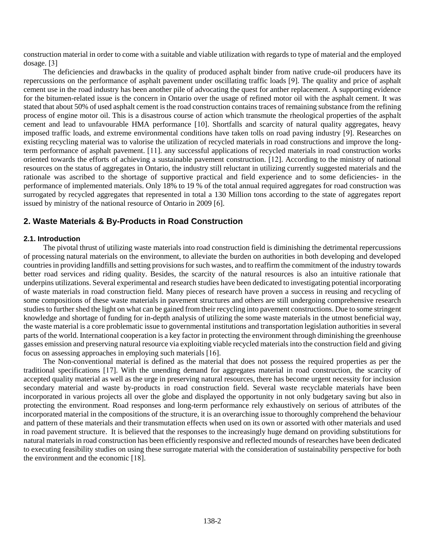construction material in order to come with a suitable and viable utilization with regards to type of material and the employed dosage. [3]

The deficiencies and drawbacks in the quality of produced asphalt binder from native crude-oil producers have its repercussions on the performance of asphalt pavement under oscillating traffic loads [9]. The quality and price of asphalt cement use in the road industry has been another pile of advocating the quest for anther replacement. A supporting evidence for the bitumen-related issue is the concern in Ontario over the usage of refined motor oil with the asphalt cement. It was stated that about 50% of used asphalt cement is the road construction contains traces of remaining substance from the refining process of engine motor oil. This is a disastrous course of action which transmute the rheological properties of the asphalt cement and lead to unfavourable HMA performance [10]. Shortfalls and scarcity of natural quality aggregates, heavy imposed traffic loads, and extreme environmental conditions have taken tolls on road paving industry [9]. Researches on existing recycling material was to valorise the utilization of recycled materials in road constructions and improve the longterm performance of asphalt pavement. [11]. any successful applications of recycled materials in road construction works oriented towards the efforts of achieving a sustainable pavement construction. [12]. According to the ministry of national resources on the status of aggregates in Ontario, the industry still reluctant in utilizing currently suggested materials and the rationale was ascribed to the shortage of supportive practical and field experience and to some deficiencies- in the performance of implemented materials. Only 18% to 19 % of the total annual required aggregates for road construction was surrogated by recycled aggregates that represented in total a 130 Million tons according to the state of aggregates report issued by ministry of the national resource of Ontario in 2009 [6].

## **2. Waste Materials & By-Products in Road Construction**

### **2.1. Introduction**

The pivotal thrust of utilizing waste materials into road construction field is diminishing the detrimental repercussions of processing natural materials on the environment, to alleviate the burden on authorities in both developing and developed countries in providing landfills and setting provisions for such wastes, and to reaffirm the commitment of the industry towards better road services and riding quality. Besides, the scarcity of the natural resources is also an intuitive rationale that underpins utilizations. Several experimental and research studies have been dedicated to investigating potential incorporating of waste materials in road construction field. Many pieces of research have proven a success in reusing and recycling of some compositions of these waste materials in pavement structures and others are still undergoing comprehensive research studies to further shed the light on what can be gained from their recycling into pavement constructions. Due to some stringent knowledge and shortage of funding for in-depth analysis of utilizing the some waste materials in the utmost beneficial way, the waste material is a core problematic issue to governmental institutions and transportation legislation authorities in several parts of the world. International cooperation is a key factor in protecting the environment through diminishing the greenhouse gasses emission and preserving natural resource via exploiting viable recycled materials into the construction field and giving focus on assessing approaches in employing such materials [16].

The Non-conventional material is defined as the material that does not possess the required properties as per the traditional specifications [17]. With the unending demand for aggregates material in road construction, the scarcity of accepted quality material as well as the urge in preserving natural resources, there has become urgent necessity for inclusion secondary material and waste by-products in road construction field. Several waste recyclable materials have been incorporated in various projects all over the globe and displayed the opportunity in not only budgetary saving but also in protecting the environment. Road responses and long-term performance rely exhaustively on serious of attributes of the incorporated material in the compositions of the structure, it is an overarching issue to thoroughly comprehend the behaviour and pattern of these materials and their transmutation effects when used on its own or assorted with other materials and used in road pavement structure. It is believed that the responses to the increasingly huge demand on providing substitutions for natural materials in road construction has been efficiently responsive and reflected mounds of researches have been dedicated to executing feasibility studies on using these surrogate material with the consideration of sustainability perspective for both the environment and the economic [18].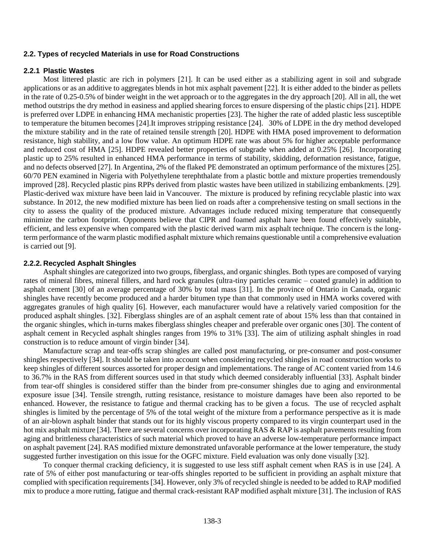#### **2.2. Types of recycled Materials in use for Road Constructions**

#### **2.2.1 Plastic Wastes**

Most littered plastic are rich in polymers [21]. It can be used either as a stabilizing agent in soil and subgrade applications or as an additive to aggregates blends in hot mix asphalt pavement [22]. It is either added to the binder as pellets in the rate of 0.25-0.5% of binder weight in the wet approach or to the aggregates in the dry approach [20]. All in all, the wet method outstrips the dry method in easiness and applied shearing forces to ensure dispersing of the plastic chips [21]. HDPE is preferred over LDPE in enhancing HMA mechanistic properties [23]. The higher the rate of added plastic less susceptible to temperature the bitumen becomes [24].It improves stripping resistance [24]. 30% of LDPE in the dry method developed the mixture stability and in the rate of retained tensile strength [20]. HDPE with HMA posed improvement to deformation resistance, high stability, and a low flow value. An optimum HDPE rate was about 5% for higher acceptable performance and reduced cost of HMA [25]. HDPE revealed better properties of subgrade when added at 0.25% [26]. Incorporating plastic up to 25% resulted in enhanced HMA performance in terms of stability, skidding, deformation resistance, fatigue, and no defects observed [27]. In Argentina, 2% of the flaked PE demonstrated an optimum performance of the mixtures [25]. 60/70 PEN examined in Nigeria with Polyethylene terephthalate from a plastic bottle and mixture properties tremendously improved [28]. Recycled plastic pins RPPs derived from plastic wastes have been utilized in stabilizing embankments. [29]. Plastic-derived wax mixture have been laid in Vancouver. The mixture is produced by refining recyclable plastic into wax substance. In 2012, the new modified mixture has been lied on roads after a comprehensive testing on small sections in the city to assess the quality of the produced mixture. Advantages include reduced mixing temperature that consequently minimize the carbon footprint. Opponents believe that CIPR and foamed asphalt have been found effectively suitable, efficient, and less expensive when compared with the plastic derived warm mix asphalt technique. The concern is the longterm performance of the warm plastic modified asphalt mixture which remains questionable until a comprehensive evaluation is carried out [9].

#### **2.2.2. Recycled Asphalt Shingles**

Asphalt shingles are categorized into two groups, fiberglass, and organic shingles. Both types are composed of varying rates of mineral fibres, mineral fillers, and hard rock granules (ultra-tiny particles ceramic – coated granule) in addition to asphalt cement [30] of an average percentage of 30% by total mass [31]. In the province of Ontario in Canada, organic shingles have recently become produced and a harder bitumen type than that commonly used in HMA works covered with aggregates granules of high quality [6]. However, each manufacturer would have a relatively varied composition for the produced asphalt shingles. [32]. Fiberglass shingles are of an asphalt cement rate of about 15% less than that contained in the organic shingles, which in-turns makes fiberglass shingles cheaper and preferable over organic ones [30]. The content of asphalt cement in Recycled asphalt shingles ranges from 19% to 31% [33]. The aim of utilizing asphalt shingles in road construction is to reduce amount of virgin binder [34].

Manufacture scrap and tear-offs scrap shingles are called post manufacturing, or pre-consumer and post-consumer shingles respectively [34]. It should be taken into account when considering recycled shingles in road construction works to keep shingles of different sources assorted for proper design and implementations. The range of AC content varied from 14.6 to 36.7% in the RAS from different sources used in that study which deemed considerably influential [33]. Asphalt binder from tear-off shingles is considered stiffer than the binder from pre-consumer shingles due to aging and environmental exposure issue [34]. Tensile strength, rutting resistance, resistance to moisture damages have been also reported to be enhanced. However, the resistance to fatigue and thermal cracking has to be given a focus. The use of recycled asphalt shingles is limited by the percentage of 5% of the total weight of the mixture from a performance perspective as it is made of an air-blown asphalt binder that stands out for its highly viscous property compared to its virgin counterpart used in the hot mix asphalt mixture [34]. There are several concerns over incorporating RAS & RAP is asphalt pavements resulting from aging and brittleness characteristics of such material which proved to have an adverse low-temperature performance impact on asphalt pavement [24]. RAS modified mixture demonstrated unfavorable performance at the lower temperature, the study suggested further investigation on this issue for the OGFC mixture. Field evaluation was only done visually [32].

To conquer thermal cracking deficiency, it is suggested to use less stiff asphalt cement when RAS is in use [24]. A rate of 5% of either post manufacturing or tear-offs shingles reported to be sufficient in providing an asphalt mixture that complied with specification requirements [34]. However, only 3% of recycled shingle is needed to be added to RAP modified mix to produce a more rutting, fatigue and thermal crack-resistant RAP modified asphalt mixture [31]. The inclusion of RAS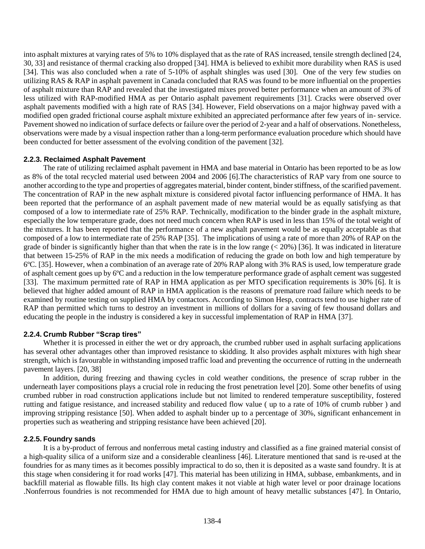into asphalt mixtures at varying rates of 5% to 10% displayed that as the rate of RAS increased, tensile strength declined [24, 30, 33] and resistance of thermal cracking also dropped [34]. HMA is believed to exhibit more durability when RAS is used [34]. This was also concluded when a rate of 5-10% of asphalt shingles was used [30]. One of the very few studies on utilizing RAS & RAP in asphalt pavement in Canada concluded that RAS was found to be more influential on the properties of asphalt mixture than RAP and revealed that the investigated mixes proved better performance when an amount of 3% of less utilized with RAP-modified HMA as per Ontario asphalt pavement requirements [31]. Cracks were observed over asphalt pavements modified with a high rate of RAS [34]. However, Field observations on a major highway paved with a modified open graded frictional course asphalt mixture exhibited an appreciated performance after few years of in- service. Pavement showed no indication of surface defects or failure over the period of 2-year and a half of observations. Nonetheless, observations were made by a visual inspection rather than a long-term performance evaluation procedure which should have been conducted for better assessment of the evolving condition of the pavement [32].

### **2.2.3. Reclaimed Asphalt Pavement**

The rate of utilizing reclaimed asphalt pavement in HMA and base material in Ontario has been reported to be as low as 8% of the total recycled material used between 2004 and 2006 [6].The characteristics of RAP vary from one source to another according to the type and properties of aggregates material, binder content, binder stiffness, of the scarified pavement. The concentration of RAP in the new asphalt mixture is considered pivotal factor influencing performance of HMA. It has been reported that the performance of an asphalt pavement made of new material would be as equally satisfying as that composed of a low to intermediate rate of 25% RAP. Technically, modification to the binder grade in the asphalt mixture, especially the low temperature grade, does not need much concern when RAP is used in less than 15% of the total weight of the mixtures. It has been reported that the performance of a new asphalt pavement would be as equally acceptable as that composed of a low to intermediate rate of 25% RAP [35]. The implications of using a rate of more than 20% of RAP on the grade of binder is significantly higher than that when the rate is in the low range  $( $20\%$ ) [36]. It was indicated in literature$ that between 15-25% of RAP in the mix needs a modification of reducing the grade on both low and high temperature by 6ºC. [35]. However, when a combination of an average rate of 20% RAP along with 3% RAS is used, low temperature grade of asphalt cement goes up by 6ºC and a reduction in the low temperature performance grade of asphalt cement was suggested [33]. The maximum permitted rate of RAP in HMA application as per MTO specification requirements is 30% [6]. It is believed that higher added amount of RAP in HMA application is the reasons of premature road failure which needs to be examined by routine testing on supplied HMA by contactors. According to Simon Hesp, contracts tend to use higher rate of RAP than permitted which turns to destroy an investment in millions of dollars for a saving of few thousand dollars and educating the people in the industry is considered a key in successful implementation of RAP in HMA [37].

### **2.2.4. Crumb Rubber "Scrap tires"**

Whether it is processed in either the wet or dry approach, the crumbed rubber used in asphalt surfacing applications has several other advantages other than improved resistance to skidding. It also provides asphalt mixtures with high shear strength, which is favourable in withstanding imposed traffic load and preventing the occurrence of rutting in the underneath pavement layers. [20, 38]

In addition, during freezing and thawing cycles in cold weather conditions, the presence of scrap rubber in the underneath layer compositions plays a crucial role in reducing the frost penetration level [20]. Some other benefits of using crumbed rubber in road construction applications include but not limited to rendered temperature susceptibility, fostered rutting and fatigue resistance, and increased stability and reduced flow value ( up to a rate of 10% of crumb rubber ) and improving stripping resistance [50]. When added to asphalt binder up to a percentage of 30%, significant enhancement in properties such as weathering and stripping resistance have been achieved [20].

### **2.2.5. Foundry sands**

It is a by-product of ferrous and nonferrous metal casting industry and classified as a fine grained material consist of a high-quality silica of a uniform size and a considerable cleanliness [46]. Literature mentioned that sand is re-used at the foundries for as many times as it becomes possibly impractical to do so, then it is deposited as a waste sand foundry. It is at this stage when considering it for road works [47]. This material has been utilizing in HMA, subbase, embankments, and in backfill material as flowable fills. Its high clay content makes it not viable at high water level or poor drainage locations .Nonferrous foundries is not recommended for HMA due to high amount of heavy metallic substances [47]. In Ontario,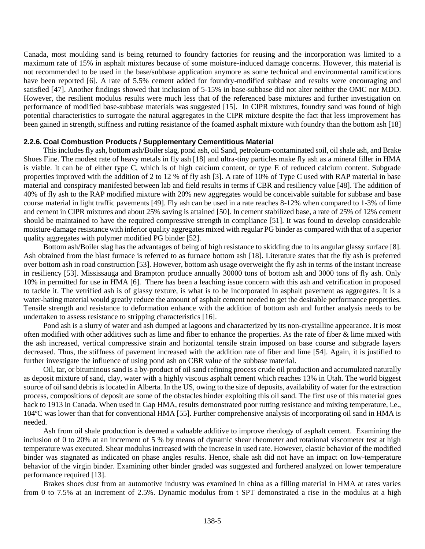Canada, most moulding sand is being returned to foundry factories for reusing and the incorporation was limited to a maximum rate of 15% in asphalt mixtures because of some moisture-induced damage concerns. However, this material is not recommended to be used in the base/subbase application anymore as some technical and environmental ramifications have been reported [6]. A rate of 5.5% cement added for foundry-modified subbase and results were encouraging and satisfied [47]. Another findings showed that inclusion of 5-15% in base-subbase did not alter neither the OMC nor MDD. However, the resilient modulus results were much less that of the referenced base mixtures and further investigation on performance of modified base-subbase materials was suggested [15]. In CIPR mixtures, foundry sand was found of high potential characteristics to surrogate the natural aggregates in the CIPR mixture despite the fact that less improvement has been gained in strength, stiffness and rutting resistance of the foamed asphalt mixture with foundry than the bottom ash [18]

#### **2.2.6. Coal Combustion Products / Supplementary Cementitious Material**

This includes fly ash, bottom ash/Boiler slag, pond ash, oil Sand, petroleum-contaminated soil, oil shale ash, and Brake Shoes Fine. The modest rate of heavy metals in fly ash [18] and ultra-tiny particles make fly ash as a mineral filler in HMA is viable. It can be of either type C, which is of high calcium content, or type E of reduced calcium content. Subgrade properties improved with the addition of 2 to 12 % of fly ash [3]. A rate of 10% of Type C used with RAP material in base material and conspiracy manifested between lab and field results in terms if CBR and resiliency value [48]. The addition of 40% of fly ash to the RAP modified mixture with 20% new aggregates would be conceivable suitable for subbase and base course material in light traffic pavements [49]. Fly ash can be used in a rate reaches 8-12% when compared to 1-3% of lime and cement in CIPR mixtures and about 25% saving is attained [50]. In cement stabilized base, a rate of 25% of 12% cement should be maintained to have the required compressive strength in compliance [51]. It was found to develop considerable moisture-damage resistance with inferior quality aggregates mixed with regular PG binder as compared with that of a superior quality aggregates with polymer modified PG binder [52].

Bottom ash/Boiler slag has the advantages of being of high resistance to skidding due to its angular glassy surface [8]. Ash obtained from the blast furnace is referred to as furnace bottom ash [18]. Literature states that the fly ash is preferred over bottom ash in road construction [53]. However, bottom ash usage overweight the fly ash in terms of the instant increase in resiliency [53]. Mississauga and Brampton produce annually 30000 tons of bottom ash and 3000 tons of fly ash. Only 10% in permitted for use in HMA [6]. There has been a leaching issue concern with this ash and vetrification in proposed to tackle it. The vetrified ash is of glassy texture, is what is to be incorporated in asphalt pavement as aggregates. It is a water-hating material would greatly reduce the amount of asphalt cement needed to get the desirable performance properties. Tensile strength and resistance to deformation enhance with the addition of bottom ash and further analysis needs to be undertaken to assess resistance to stripping characteristics [16].

Pond ash is a slurry of water and ash dumped at lagoons and characterized by its non-crystalline appearance. It is most often modified with other additives such as lime and fiber to enhance the properties. As the rate of fiber & lime mixed with the ash increased, vertical compressive strain and horizontal tensile strain imposed on base course and subgrade layers decreased. Thus, the stiffness of pavement increased with the addition rate of fiber and lime [54]. Again, it is justified to further investigate the influence of using pond ash on CBR value of the subbase material.

Oil, tar, or bituminous sand is a by-product of oil sand refining process crude oil production and accumulated naturally as deposit mixture of sand, clay, water with a highly viscous asphalt cement which reaches 13% in Utah. The world biggest source of oil sand debris is located in Alberta. In the US, owing to the size of deposits, availability of water for the extraction process, compositions of deposit are some of the obstacles hinder exploiting this oil sand. The first use of this material goes back to 1913 in Canada. When used in Gap HMA, results demonstrated poor rutting resistance and mixing temperature, i.e., 104ºC was lower than that for conventional HMA [55]. Further comprehensive analysis of incorporating oil sand in HMA is needed.

Ash from oil shale production is deemed a valuable additive to improve rheology of asphalt cement. Examining the inclusion of 0 to 20% at an increment of 5 % by means of dynamic shear rheometer and rotational viscometer test at high temperature was executed. Shear modulus increased with the increase in used rate. However, elastic behavior of the modified binder was stagnated as indicated on phase angles results. Hence, shale ash did not have an impact on low-temperature behavior of the virgin binder. Examining other binder graded was suggested and furthered analyzed on lower temperature performance required [13].

Brakes shoes dust from an automotive industry was examined in china as a filling material in HMA at rates varies from 0 to 7.5% at an increment of 2.5%. Dynamic modulus from t SPT demonstrated a rise in the modulus at a high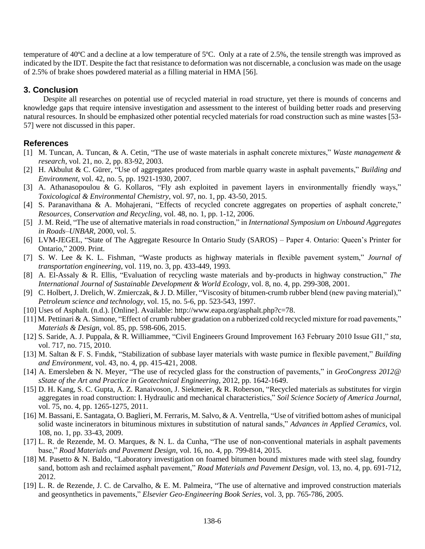temperature of 40ºC and a decline at a low temperature of 5ºC. Only at a rate of 2.5%, the tensile strength was improved as indicated by the IDT. Despite the fact that resistance to deformation was not discernable, a conclusion was made on the usage of 2.5% of brake shoes powdered material as a filling material in HMA [56].

## **3. Conclusion**

Despite all researches on potential use of recycled material in road structure, yet there is mounds of concerns and knowledge gaps that require intensive investigation and assessment to the interest of building better roads and preserving natural resources. In should be emphasized other potential recycled materials for road construction such as mine wastes [53- 57] were not discussed in this paper.

## **References**

- [1] M. Tuncan, A. Tuncan, & A. Cetin, "The use of waste materials in asphalt concrete mixtures," *Waste management & research*, vol. 21, no. 2, pp. 83-92, 2003.
- [2] H. Akbulut & C. Gürer, "Use of aggregates produced from marble quarry waste in asphalt pavements," *Building and Environment*, vol. 42, no. 5, pp. 1921-1930, 2007.
- [3] A. Athanasopoulou & G. Kollaros, "Fly ash exploited in pavement layers in environmentally friendly ways," *Toxicological & Environmental Chemistry*, vol. 97, no. 1, pp. 43-50, 2015.
- [4] S. Paranavithana & A. Mohajerani, "Effects of recycled concrete aggregates on properties of asphalt concrete," *Resources, Conservation and Recycling*, vol. 48, no. 1, pp. 1-12, 2006.
- [5] J. M. Reid, "The use of alternative materials in road construction," in *International Symposium on Unbound Aggregates in Roads–UNBAR*, 2000, vol. 5.
- [6] LVM-JEGEL, "State of The Aggregate Resource In Ontario Study (SAROS) Paper 4. Ontario: Queen's Printer for Ontario," 2009. Print.
- [7] S. W. Lee & K. L. Fishman, "Waste products as highway materials in flexible pavement system," *Journal of transportation engineering*, vol. 119, no. 3, pp. 433-449, 1993.
- [8] A. El-Assaly & R. Ellis, "Evaluation of recycling waste materials and by-products in highway construction," *The International Journal of Sustainable Development & World Ecology*, vol. 8, no. 4, pp. 299-308, 2001.
- [9] C. Holbert, J. Drelich, W. Zmierczak, & J. D. Miller, "Viscosity of bitumen-crumb rubber blend (new paving material)," *Petroleum science and technology*, vol. 15, no. 5-6, pp. 523-543, 1997.
- [10] Uses of Asphalt. (n.d.). [Online]. Available: http://www.eapa.org/asphalt.php?c=78.
- [11] M. Pettinari & A. Simone, "Effect of crumb rubber gradation on a rubberized cold recycled mixture for road pavements," *Materials & Design*, vol. 85, pp. 598-606, 2015.
- [12] S. Saride, A. J. Puppala, & R. Williammee, "Civil Engineers Ground Improvement 163 February 2010 Issue GI1," *sta*, vol. 717, no. 715, 2010.
- [13] M. Saltan & F. S. Fındık, "Stabilization of subbase layer materials with waste pumice in flexible pavement," *Building and Environment*, vol. 43, no. 4, pp. 415-421, 2008.
- [14] A. Emersleben & N. Meyer, "The use of recycled glass for the construction of pavements," in *GeoCongress 2012@ sState of the Art and Practice in Geotechnical Engineering*, 2012, pp. 1642-1649.
- [15] D. H. Kang, S. C. Gupta, A. Z. Ranaivoson, J. Siekmeier, & R. Roberson, "Recycled materials as substitutes for virgin aggregates in road construction: I. Hydraulic and mechanical characteristics," *Soil Science Society of America Journal*, vol. 75, no. 4, pp. 1265-1275, 2011.
- [16] M. Bassani, E. Santagata, O. Baglieri, M. Ferraris, M. Salvo, & A. Ventrella, "Use of vitrified bottom ashes of municipal solid waste incinerators in bituminous mixtures in substitution of natural sands," *Advances in Applied Ceramics*, vol. 108, no. 1, pp. 33-43, 2009.
- [17] L. R. de Rezende, M. O. Marques, & N. L. da Cunha, "The use of non-conventional materials in asphalt pavements base," *Road Materials and Pavement Design*, vol. 16, no. 4, pp. 799-814, 2015.
- [18] M. Pasetto & N. Baldo, "Laboratory investigation on foamed bitumen bound mixtures made with steel slag, foundry sand, bottom ash and reclaimed asphalt pavement," *Road Materials and Pavement Design*, vol. 13, no. 4, pp. 691-712, 2012.
- [19] L. R. de Rezende, J. C. de Carvalho, & E. M. Palmeira, "The use of alternative and improved construction materials and geosynthetics in pavements," *Elsevier Geo-Engineering Book Series*, vol. 3, pp. 765-786, 2005.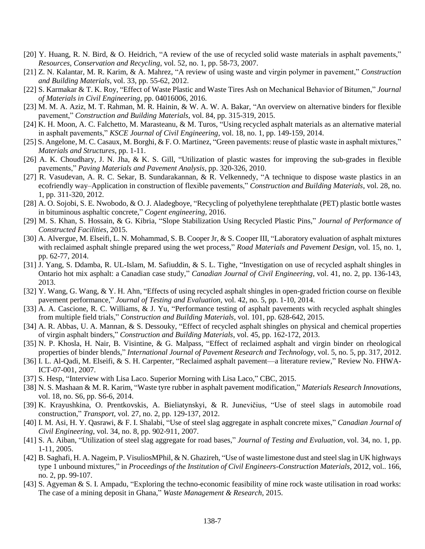- [20] Y. Huang, R. N. Bird, & O. Heidrich, "A review of the use of recycled solid waste materials in asphalt pavements," *Resources, Conservation and Recycling*, vol. 52, no. 1, pp. 58-73, 2007.
- [21] Z. N. Kalantar, M. R. Karim, & A. Mahrez, "A review of using waste and virgin polymer in pavement," *Construction and Building Materials*, vol. 33, pp. 55-62, 2012.
- [22] S. Karmakar & T. K. Roy, "Effect of Waste Plastic and Waste Tires Ash on Mechanical Behavior of Bitumen," *Journal of Materials in Civil Engineering*, pp. 04016006, 2016.
- [23] M. M. A. Aziz, M. T. Rahman, M. R. Hainin, & W. A. W. A. Bakar, "An overview on alternative binders for flexible pavement," *Construction and Building Materials*, vol. 84, pp. 315-319, 2015.
- [24] K. H. Moon, A. C. Falchetto, M. Marasteanu, & M. Turos, "Using recycled asphalt materials as an alternative material in asphalt pavements," *KSCE Journal of Civil Engineering*, vol. 18, no. 1, pp. 149-159, 2014.
- [25] S. Angelone, M. C. Casaux, M. Borghi, & F. O. Martinez, "Green pavements: reuse of plastic waste in asphalt mixtures," *Materials and Structures*, pp. 1-11.
- [26] A. K. Choudhary, J. N. Jha, & K. S. Gill, "Utilization of plastic wastes for improving the sub-grades in flexible pavements," *Paving Materials and Pavement Analysis*, pp. 320-326, 2010.
- [27] R. Vasudevan, A. R. C. Sekar, B. Sundarakannan, & R. Velkennedy, "A technique to dispose waste plastics in an ecofriendly way–Application in construction of flexible pavements," *Construction and Building Materials*, vol. 28, no. 1, pp. 311-320, 2012.
- [28] A. O. Sojobi, S. E. Nwobodo, & O. J. Aladegboye, "Recycling of polyethylene terephthalate (PET) plastic bottle wastes in bituminous asphaltic concrete," *Cogent engineering*, 2016.
- [29] M. S. Khan, S. Hossain, & G. Kibria, "Slope Stabilization Using Recycled Plastic Pins," *Journal of Performance of Constructed Facilities*, 2015.
- [30] A. Alvergue, M. Elseifi, L. N. Mohammad, S. B. Cooper Jr, & S. Cooper III, "Laboratory evaluation of asphalt mixtures with reclaimed asphalt shingle prepared using the wet process," *Road Materials and Pavement Design*, vol. 15, no. 1, pp. 62-77, 2014.
- [31] J. Yang, S. Ddamba, R. UL-Islam, M. Safiuddin, & S. L. Tighe, "Investigation on use of recycled asphalt shingles in Ontario hot mix asphalt: a Canadian case study," *Canadian Journal of Civil Engineering*, vol. 41, no. 2, pp. 136-143, 2013.
- [32] Y. Wang, G. Wang, & Y. H. Ahn, "Effects of using recycled asphalt shingles in open-graded friction course on flexible pavement performance," *Journal of Testing and Evaluation*, vol. 42, no. 5, pp. 1-10, 2014.
- [33] A. A. Cascione, R. C. Williams, & J. Yu, "Performance testing of asphalt pavements with recycled asphalt shingles from multiple field trials," *Construction and Building Materials*, vol. 101, pp. 628-642, 2015.
- [34] A. R. Abbas, U. A. Mannan, & S. Dessouky, "Effect of recycled asphalt shingles on physical and chemical properties of virgin asphalt binders," *Construction and Building Materials*, vol. 45, pp. 162-172, 2013.
- [35] N. P. Khosla, H. Nair, B. Visintine, & G. Malpass, "Effect of reclaimed asphalt and virgin binder on rheological properties of binder blends," *International Journal of Pavement Research and Technology*, vol. 5, no. 5, pp. 317, 2012.
- [36] I. L. Al-Qadi, M. Elseifi, & S. H. Carpenter, "Reclaimed asphalt pavement—a literature review," Review No. FHWA-ICT-07-001, 2007.
- [37] S. Hesp, "Interview with Lisa Laco. Superior Morning with Lisa Laco," CBC, 2015.
- [38] N. S. Mashaan & M. R. Karim, "Waste tyre rubber in asphalt pavement modification," *Materials Research Innovations*, vol. 18, no. S6, pp. S6-6, 2014.
- [39] K. Krayushkina, O. Prentkovskis, A. Bieliatynskyi, & R. Junevičius, "Use of steel slags in automobile road construction," *Transport*, vol. 27, no. 2, pp. 129-137, 2012.
- [40] I. M. Asi, H. Y. Qasrawi, & F. I. Shalabi, "Use of steel slag aggregate in asphalt concrete mixes," *Canadian Journal of Civil Engineering*, vol. 34, no. 8, pp. 902-911, 2007.
- [41] S. A. Aiban, "Utilization of steel slag aggregate for road bases," *Journal of Testing and Evaluation*, vol. 34, no. 1, pp. 1-11, 2005.
- [42] B. Saghafi, H. A. Nageim, P. VisuliosMPhil, & N. Ghazireh, "Use of waste limestone dust and steel slag in UK highways type 1 unbound mixtures," in *Proceedings of the Institution of Civil Engineers-Construction Materials*, 2012, vol.. 166, no. 2, pp. 99-107.
- [43] S. Agyeman & S. I. Ampadu, "Exploring the techno-economic feasibility of mine rock waste utilisation in road works: The case of a mining deposit in Ghana," *Waste Management & Research*, 2015.